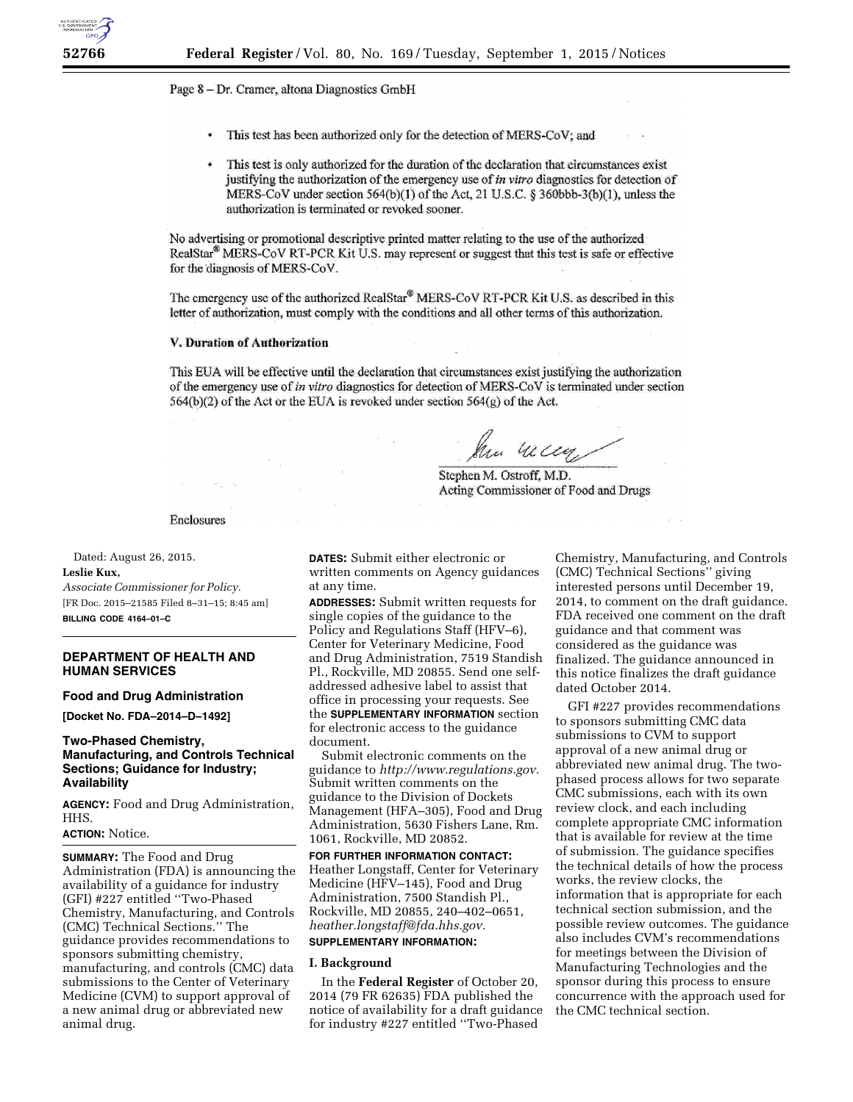## Page 8 - Dr. Cramer, altona Diagnostics GmbH

- $\frac{1}{2}$ This test has been authorized only for the detection of MERS-CoV; and
- This test is only authorized for the duration of the declaration that circumstances exist justifying the authorization of the emergency use of in vitro diagnostics for detection of MERS-CoV under section  $564(b)(1)$  of the Act, 21 U.S.C. § 360bbb-3(b)(1), unless the authorization is terminated or revoked sooner.

No advertising or promotional descriptive printed matter relating to the use of the authorized RealStar<sup>®</sup> MERS-CoV RT-PCR Kit U.S. may represent or suggest that this test is safe or effective for the diagnosis of MERS-CoV.

The emergency use of the authorized RealStar® MERS-CoV RT-PCR Kit U.S. as described in this letter of authorization, must comply with the conditions and all other terms of this authorization.

### V. Duration of Authorization

This EUA will be effective until the declaration that circumstances exist justifying the authorization of the emergency use of in vitro diagnostics for detection of MERS-CoV is terminated under section  $564(b)(2)$  of the Act or the EUA is revoked under section  $564(g)$  of the Act.

Men Willey

Stephen M. Ostroff, M.D. Acting Commissioner of Food and Drugs

Enclosures

Dated: August 26, 2015.

#### **Leslie Kux,**

*Associate Commissioner for Policy.*  [FR Doc. 2015–21585 Filed 8–31–15; 8:45 am] **BILLING CODE 4164–01–C** 

## **DEPARTMENT OF HEALTH AND HUMAN SERVICES**

#### **Food and Drug Administration**

**[Docket No. FDA–2014–D–1492]** 

# **Two-Phased Chemistry, Manufacturing, and Controls Technical Sections; Guidance for Industry; Availability**

**AGENCY:** Food and Drug Administration, HHS.

## **ACTION:** Notice.

**SUMMARY:** The Food and Drug Administration (FDA) is announcing the availability of a guidance for industry (GFI) #227 entitled ''Two-Phased Chemistry, Manufacturing, and Controls (CMC) Technical Sections.'' The guidance provides recommendations to sponsors submitting chemistry, manufacturing, and controls (CMC) data submissions to the Center of Veterinary Medicine (CVM) to support approval of a new animal drug or abbreviated new animal drug.

**DATES:** Submit either electronic or written comments on Agency guidances at any time.

**ADDRESSES:** Submit written requests for single copies of the guidance to the Policy and Regulations Staff (HFV–6), Center for Veterinary Medicine, Food and Drug Administration, 7519 Standish Pl., Rockville, MD 20855. Send one selfaddressed adhesive label to assist that office in processing your requests. See the **SUPPLEMENTARY INFORMATION** section for electronic access to the guidance document.

Submit electronic comments on the guidance to *[http://www.regulations.gov.](http://www.regulations.gov)*  Submit written comments on the guidance to the Division of Dockets Management (HFA–305), Food and Drug Administration, 5630 Fishers Lane, Rm. 1061, Rockville, MD 20852.

**FOR FURTHER INFORMATION CONTACT:**  Heather Longstaff, Center for Veterinary Medicine (HFV–145), Food and Drug Administration, 7500 Standish Pl., Rockville, MD 20855, 240–402–0651, *[heather.longstaff@fda.hhs.gov.](mailto:heather.longstaff@fda.hhs.gov)* 

# **SUPPLEMENTARY INFORMATION:**

#### **I. Background**

In the **Federal Register** of October 20, 2014 (79 FR 62635) FDA published the notice of availability for a draft guidance for industry #227 entitled ''Two-Phased

Chemistry, Manufacturing, and Controls (CMC) Technical Sections'' giving interested persons until December 19, 2014, to comment on the draft guidance. FDA received one comment on the draft guidance and that comment was considered as the guidance was finalized. The guidance announced in this notice finalizes the draft guidance dated October 2014.

GFI #227 provides recommendations to sponsors submitting CMC data submissions to CVM to support approval of a new animal drug or abbreviated new animal drug. The twophased process allows for two separate CMC submissions, each with its own review clock, and each including complete appropriate CMC information that is available for review at the time of submission. The guidance specifies the technical details of how the process works, the review clocks, the information that is appropriate for each technical section submission, and the possible review outcomes. The guidance also includes CVM's recommendations for meetings between the Division of Manufacturing Technologies and the sponsor during this process to ensure concurrence with the approach used for the CMC technical section.